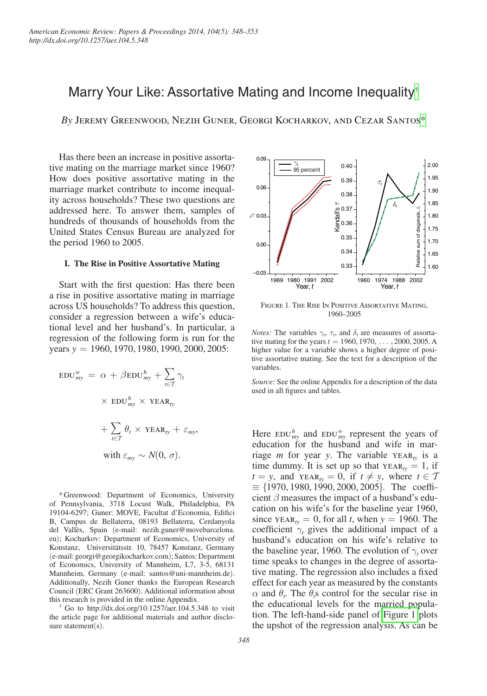# Marry Your Like: Assortative Mating and Income Inequality[†](#page-0-0)

*By* Jeremy Greenwood, Nezih Guner, Georgi Kocharkov, and Cezar Santo[s\\*](#page-0-1)

Has there been an increase in positive assortative mating on the marriage market since 1960? How does positive assortative mating in the marriage market contribute to income inequality across households? These two questions are addressed here. To answer them, samples of hundreds of thousands of households from the United States Census Bureau are analyzed for the period 1960 to 2005.

#### **I. The Rise in Positive Assortative Mating**

Start with the first question: Has there been a rise in positive assortative mating in marriage across US households? To address this question, consider a regression between a wife's educational level and her husband's. In particular, a regression of the following form is run for the years *y* = 1960, 1970, 1980, 1990, 2000, 2005:

$$
\text{EDU}^w_{my} = \alpha + \beta \text{EDU}^h_{my} + \sum_{t \in \mathcal{T}} \gamma_t
$$

$$
\times \text{ EDU}^h_{my} \times \text{YEAR}_{ty}
$$

$$
+ \sum_{t \in \mathcal{T}} \theta_t \times \text{YEAR}_{ty} + \varepsilon_{my},
$$
with  $\varepsilon_{my} \sim N(0, \sigma)$ .

<span id="page-0-1"></span>\*Greenwood: Department of Economics, University of Pennsylvania, 3718 Locust Walk, Philadelphia, PA 19104-6297; Guner: MOVE, Facultat d'Economia, Edifici B, Campus de Bellaterra, 08193 Bellaterra, Cerdanyola del Vallès, Spain (e-mail: [nezih.guner@movebarcelona.](mailto:nezih.guner@movebarcelona.eu) [eu](mailto:nezih.guner@movebarcelona.eu)); Kocharkov: Department of Economics, University of Konstanz, Universitätsstr. 10, 78457 Konstanz, Germany (e-mail[: georgi@georgikocharkov.com](mailto:georgi@georgikocharkov.com)); Santos: Department of Economics, University of Mannheim, L7, 3-5, 68131 Mannheim, Germany (e-mail: [santos@uni-mannheim.de](mailto:santos@uni-mannheim.de)). Additionally, Nezih Guner thanks the European Research Council (ERC Grant 263600). Additional information about

<span id="page-0-0"></span>this research is provided in the online Appendix.  $\uparrow$  Go to<http://dx.doi.org/10.1257/aer.104.5.348>to visit the article page for additional materials and author disclosure statement(s).



Figure 1. The Rise In Positive Assortative Mating, 1960–2005

*Notes:* The variables  $\gamma_t$ ,  $\tau_t$ , and  $\delta_t$  are measures of assortative mating for the years  $t = 1960, 1970, \ldots, 2000, 2005$ . A higher value for a variable shows a higher degree of positive assortative mating. See the text for a description of the variables.

*Source:* See the online Appendix for a description of the data used in all figures and tables.

Here  $EDU_{my}^h$  and  $EDU_{my}^w$  represent the years of education for the husband and wife in marriage *m* for year *y*. The variable  $YEAR<sub>w</sub>$  is a time dummy. It is set up so that  $YEAR<sub>w</sub> = 1$ , if  $t = y$ , and  $YEAR_{tv} = 0$ , if  $t \neq y$ , where  $t \in T$  $\equiv$  {1970, 1980, 1990, 2000, 2005}. The coefficient  $\beta$  measures the impact of a husband's education on his wife's for the baseline year 1960, since  $YEAR_{tv} = 0$ , for all *t*, when  $y = 1960$ . The coefficient  $\gamma_t$  gives the additional impact of a husband's education on his wife's relative to the baseline year, 1960. The evolution of  $\gamma_t$  over time speaks to changes in the degree of assortative mating. The regression also includes a fixed effect for each year as measured by the constants  $\alpha$  and  $\theta_t$ . The  $\theta_t$ s control for the secular rise in the educational levels for the married population. The left-hand-side panel of Figure 1 plots the upshot of the regression analysis. As can be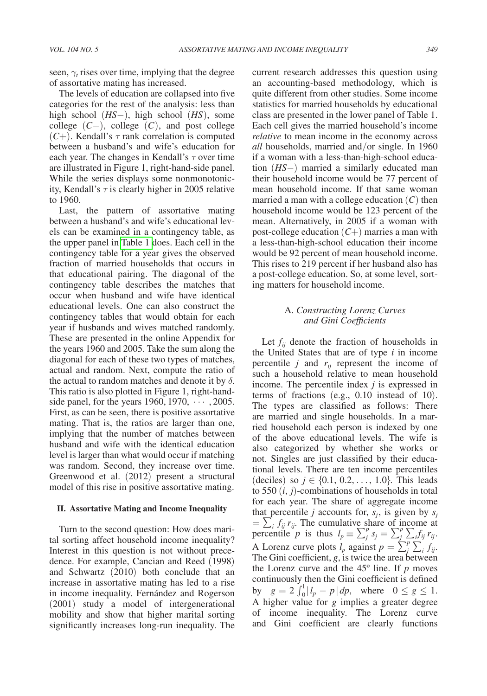seen,  $\gamma_t$  rises over time, implying that the degree of assortative mating has increased.

The levels of education are collapsed into five categories for the rest of the analysis: less than high school (*HS*−), high school (*HS* ), some college (*C*−), college (*C* ), and post college  $(C+)$ . Kendall's  $\tau$  rank correlation is computed between a husband's and wife's education for each year. The changes in Kendall's  $\tau$  over time are illustrated in Figure 1, right-hand-side panel. While the series displays some nonmonotonicity, Kendall's  $\tau$  is clearly higher in 2005 relative to 1960.

Last, the pattern of assortative mating between a husband's and wife's educational levels can be examined in a contingency table, as the upper panel in [Table 1](#page-2-0) does. Each cell in the contingency table for a year gives the observed fraction of married households that occurs in that educational pairing. The diagonal of the contingency table describes the matches that occur when husband and wife have identical educational levels. One can also construct the contingency tables that would obtain for each year if husbands and wives matched randomly. These are presented in the online Appendix for the years 1960 and 2005. Take the sum along the diagonal for each of these two types of matches, actual and random. Next, compute the ratio of the actual to random matches and denote it by  $\delta$ . This ratio is also plotted in Figure 1, right-handside panel, for the years  $1960, 1970, \dots, 2005$ . First, as can be seen, there is positive assortative mating. That is, the ratios are larger than one, implying that the number of matches between husband and wife with the identical education level is larger than what would occur if matching was random. Second, they increase over time. Greenwood et al. (2012) present a structural model of this rise in positive assortative mating.

#### **II. Assortative Mating and Income Inequality**

Turn to the second question: How does marital sorting affect household income inequality? Interest in this question is not without precedence. For example, Cancian and Reed (1998) and Schwartz (2010) both conclude that an increase in assortative mating has led to a rise in income inequality. Fernández and Rogerson (2001) study a model of intergenerational mobility and show that higher marital sorting significantly increases long-run inequality. The current research addresses this question using an accounting-based methodology, which is quite different from other studies. Some income statistics for married households by educational class are presented in the lower panel of Table 1. Each cell gives the married household's income *relative* to mean income in the economy across *all* households, married and/or single. In 1960 if a woman with a less-than-high-school education (*HS*−) married a similarly educated man their household income would be 77 percent of mean household income. If that same woman married a man with a college education (*C*) then household income would be 123 percent of the mean. Alternatively, in 2005 if a woman with post-college education (*C*+) marries a man with a less-than-high-school education their income would be 92 percent of mean household income. This rises to 219 percent if her husband also has a post-college education. So, at some level, sorting matters for household income.

#### A. *Constructing Lorenz Curves and Gini Coefficients*

Let  $f_{ij}$  denote the fraction of households in the United States that are of type *i* in income percentile  $j$  and  $r_{ij}$  represent the income of such a household relative to mean household income. The percentile index *j* is expressed in terms of fractions (e.g., 0.10 instead of 10). The types are classified as follows: There are married and single households. In a married household each person is indexed by one of the above educational levels. The wife is also categorized by whether she works or not. Singles are just classified by their educational levels. There are ten income percentiles (deciles) so  $j \in \{0.1, 0.2, ..., 1.0\}$ . This leads to 550 (*i*, *j*)-combinations of households in total for each year. The share of aggregate income that percentile *j* accounts for,  $s_j$ , is given by  $s_j$  $=\sum_i f_{ij} r_{ij}$ . The cumulative share of income at percentile *p* is thus  $l_p \equiv \sum_j^p s_j = \sum_j^p \sum_i f_{ij} r_i$ . A Lorenz curve plots  $l_p$  against  $p = \sum_j^p \sum_i f_{ij}$ . The Gini coefficient, *g*, is twice the area between the Lorenz curve and the 45º line. If *p* moves continuously then the Gini coefficient is defined by  $g = 2 \int_0^1 |l_p - p| dp$ , where  $0 \le g \le 1$ . A higher value for *g* implies a greater degree of income inequality. The Lorenz curve and Gini coefficient are clearly functions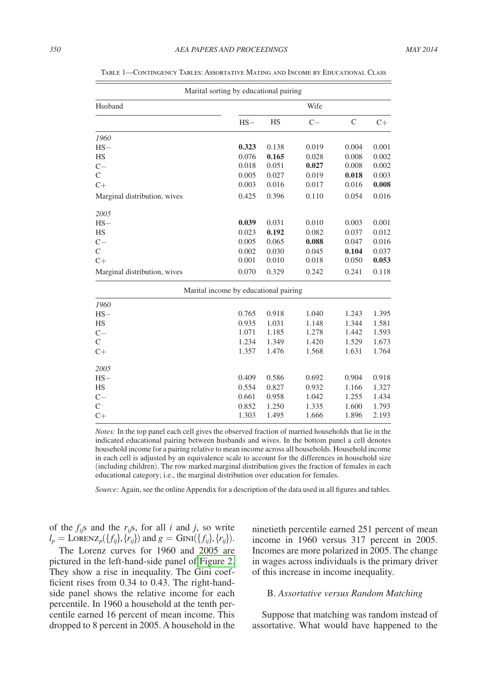|                              | Marital sorting by educational pairing |       |       |              |       |  |  |
|------------------------------|----------------------------------------|-------|-------|--------------|-------|--|--|
| Husband                      |                                        | Wife  |       |              |       |  |  |
|                              | $HS-$                                  | HS    | $C -$ | $\mathsf{C}$ | $C+$  |  |  |
| 1960                         |                                        |       |       |              |       |  |  |
| $HS-$                        | 0.323                                  | 0.138 | 0.019 | 0.004        | 0.001 |  |  |
| <b>HS</b>                    | 0.076                                  | 0.165 | 0.028 | 0.008        | 0.002 |  |  |
| $C -$                        | 0.018                                  | 0.051 | 0.027 | 0.008        | 0.002 |  |  |
| $\mathcal{C}$                | 0.005                                  | 0.027 | 0.019 | 0.018        | 0.003 |  |  |
| $C+$                         | 0.003                                  | 0.016 | 0.017 | 0.016        | 0.008 |  |  |
| Marginal distribution, wives | 0.425                                  | 0.396 | 0.110 | 0.054        | 0.016 |  |  |
| 2005                         |                                        |       |       |              |       |  |  |
| $HS-$                        | 0.039                                  | 0.031 | 0.010 | 0.003        | 0.001 |  |  |
| HS                           | 0.023                                  | 0.192 | 0.082 | 0.037        | 0.012 |  |  |
| $C -$                        | 0.005                                  | 0.065 | 0.088 | 0.047        | 0.016 |  |  |
| $\mathcal{C}$                | 0.002                                  | 0.030 | 0.045 | 0.104        | 0.037 |  |  |
| $C+$                         | 0.001                                  | 0.010 | 0.018 | 0.050        | 0.053 |  |  |
| Marginal distribution, wives | 0.070                                  | 0.329 | 0.242 | 0.241        | 0.118 |  |  |
|                              | Marital income by educational pairing  |       |       |              |       |  |  |
| 1960                         |                                        |       |       |              |       |  |  |
| $HS-$                        | 0.765                                  | 0.918 | 1.040 | 1.243        | 1.395 |  |  |
| HS                           | 0.935                                  | 1.031 | 1.148 | 1.344        | 1.581 |  |  |
| $C-$                         | 1.071                                  | 1.185 | 1.278 | 1.442        | 1.593 |  |  |
| $\mathcal{C}$                | 1.234                                  | 1.349 | 1.420 | 1.529        | 1.673 |  |  |
| $C+$                         | 1.357                                  | 1.476 | 1.568 | 1.631        | 1.764 |  |  |
| 2005                         |                                        |       |       |              |       |  |  |
| $HS-$                        | 0.409                                  | 0.586 | 0.692 | 0.904        | 0.918 |  |  |
| HS                           | 0.554                                  | 0.827 | 0.932 | 1.166        | 1.327 |  |  |
| $C -$                        | 0.661                                  | 0.958 | 1.042 | 1.255        | 1.434 |  |  |
| $\mathsf{C}$                 | 0.852                                  | 1.250 | 1.335 | 1.600        | 1.793 |  |  |
| $C+$                         | 1.303                                  | 1.495 | 1.666 | 1.896        | 2.193 |  |  |

<span id="page-2-0"></span>Table 1—Contingency Tables: Assortative Mating and Income by Educational Class

*Notes:* In the top panel each cell gives the observed fraction of married households that lie in the indicated educational pairing between husbands and wives. In the bottom panel a cell denotes household income for a pairing relative to mean income across all households. Household income in each cell is adjusted by an equivalence scale to account for the differences in household size (including children). The row marked marginal distribution gives the fraction of females in each educational category; i.e., the marginal distribution over education for females.

*Source:* Again, see the online Appendix for a description of the data used in all figures and tables.

of the  $f_{ij}$ s and the  $r_{ij}$ s, for all *i* and *j*, so write  $l_p = \text{Lorenz}_p({f_{ij}}, {r_{ij}})$  and  $g = \text{Gini}({f_{ij}}, {r_{ij}}).$ 

The Lorenz curves for 1960 and 2005 are pictured in the left-hand-side panel of [Figure 2.](#page-3-0) They show a rise in inequality. The Gini coefficient rises from 0.34 to 0.43. The right-handside panel shows the relative income for each percentile. In 1960 a household at the tenth percentile earned 16 percent of mean income. This dropped to 8 percent in 2005. A household in the

ninetieth percentile earned 251 percent of mean income in 1960 versus 317 percent in 2005. Incomes are more polarized in 2005. The change in wages across individuals is the primary driver of this increase in income inequality.

#### B. *Assortative versus Random Matching*

Suppose that matching was random instead of assortative. What would have happened to the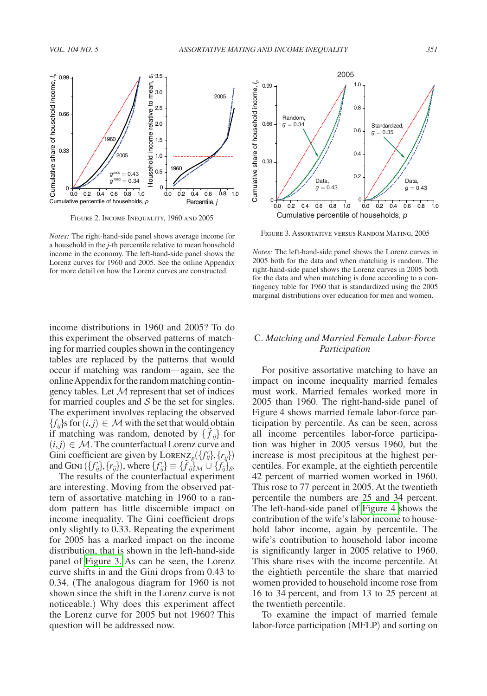<span id="page-3-0"></span>

Figure 2. Income Inequality, 1960 and 2005

*Notes:* The right-hand-side panel shows average income for a household in the *j*-th percentile relative to mean household income in the economy. The left-hand-side panel shows the Lorenz curves for 1960 and 2005. See the online Appendix for more detail on how the Lorenz curves are constructed.

income distributions in 1960 and 2005? To do this experiment the observed patterns of matching for married couples shown in the contingency tables are replaced by the patterns that would occur if matching was random—again, see the online Appendix for the random matching contingency tables. Let  $M$  represent that set of indices for married couples and  $S$  be the set for singles. The experiment involves replacing the observed  ${f_{ii}}$ s for  $(i, j) \in \mathcal{M}$  with the set that would obtain if matching was random, denoted by  $\{\tilde{f}_{ij}\}$  for  $(i, j) \in \mathcal{M}$ . The counterfactual Lorenz curve and Gini coefficient are given by  $L$ OREN $Z_p({f_i'}_j,{r_i}_j)$ and GINI  $({f'_{ij}}{}, {r_{ij}})$ , where  ${f'_{ij}} \equiv {\tilde{f}_{ij}}_{\mathcal{M}} \cup {\tilde{f}_{ij}}_{\mathcal{S}}$ .

The results of the counterfactual experiment are interesting. Moving from the observed pattern of assortative matching in 1960 to a random pattern has little discernible impact on income inequality. The Gini coefficient drops only slightly to 0.33. Repeating the experiment for 2005 has a marked impact on the income distribution, that is shown in the left-hand-side panel of Figure 3. As can be seen, the Lorenz curve shifts in and the Gini drops from 0.43 to 0.34. (The analogous diagram for 1960 is not shown since the shift in the Lorenz curve is not noticeable.) Why does this experiment affect the Lorenz curve for 2005 but not 1960? This question will be addressed now.



Figure 3. Assortative versus Random Mating, 2005

*Notes:* The left-hand-side panel shows the Lorenz curves in 2005 both for the data and when matching is random. The right-hand-side panel shows the Lorenz curves in 2005 both for the data and when matching is done according to a contingency table for 1960 that is standardized using the 2005 marginal distributions over education for men and women.

### C. *Matching and Married Female Labor-Force Participation*

For positive assortative matching to have an impact on income inequality married females must work. Married females worked more in 2005 than 1960. The right-hand-side panel of Figure 4 shows married female labor-force participation by percentile. As can be seen, across all income percentiles labor-force participation was higher in 2005 versus 1960, but the increase is most precipitous at the highest percentiles. For example, at the eightieth percentile 42 percent of married women worked in 1960. This rose to 77 percent in 2005. At the twentieth percentile the numbers are 25 and 34 percent. The left-hand-side panel of [Figure 4](#page-4-0) shows the contribution of the wife's labor income to household labor income, again by percentile. The wife's contribution to household labor income is significantly larger in 2005 relative to 1960. This share rises with the income percentile. At the eightieth percentile the share that married women provided to household income rose from 16 to 34 percent, and from 13 to 25 percent at the twentieth percentile.

To examine the impact of married female labor-force participation (MFLP) and sorting on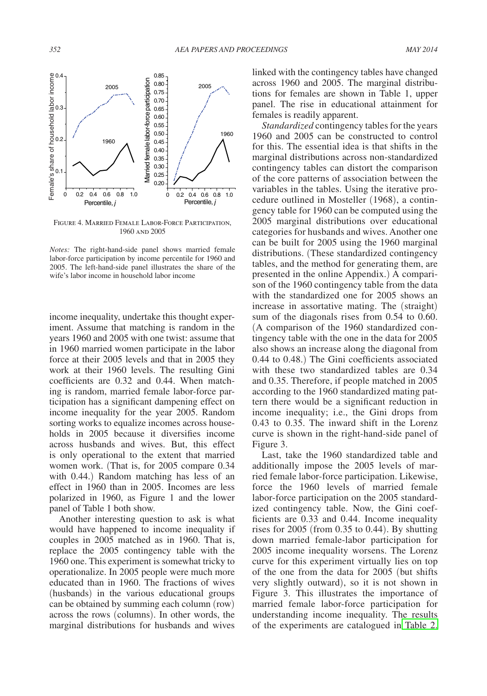<span id="page-4-0"></span>

Figure 4. Married Female Labor-Force Participation, 1960 and 2005

*Notes:* The right-hand-side panel shows married female labor-force participation by income percentile for 1960 and 2005. The left-hand-side panel illustrates the share of the wife's labor income in household labor income

income inequality, undertake this thought experiment. Assume that matching is random in the years 1960 and 2005 with one twist: assume that in 1960 married women participate in the labor force at their 2005 levels and that in 2005 they work at their 1960 levels. The resulting Gini coefficients are 0.32 and 0.44. When matching is random, married female labor-force participation has a significant dampening effect on income inequality for the year 2005. Random sorting works to equalize incomes across households in 2005 because it diversifies income across husbands and wives. But, this effect is only operational to the extent that married women work. (That is, for 2005 compare 0.34 with 0.44.) Random matching has less of an effect in 1960 than in 2005. Incomes are less polarized in 1960, as Figure 1 and the lower panel of Table 1 both show.

Another interesting question to ask is what would have happened to income inequality if couples in 2005 matched as in 1960. That is, replace the 2005 contingency table with the 1960 one. This experiment is somewhat tricky to operationalize. In 2005 people were much more educated than in 1960. The fractions of wives (husbands) in the various educational groups can be obtained by summing each column (row) across the rows (columns). In other words, the marginal distributions for husbands and wives linked with the contingency tables have changed across 1960 and 2005. The marginal distributions for females are shown in Table 1, upper panel. The rise in educational attainment for females is readily apparent.

*Standardized* contingency tables for the years 1960 and 2005 can be constructed to control for this. The essential idea is that shifts in the marginal distributions across non-standardized contingency tables can distort the comparison of the core patterns of association between the variables in the tables. Using the iterative procedure outlined in Mosteller (1968), a contingency table for 1960 can be computed using the 2005 marginal distributions over educational categories for husbands and wives. Another one can be built for 2005 using the 1960 marginal distributions. (These standardized contingency tables, and the method for generating them, are presented in the online Appendix.) A comparison of the 1960 contingency table from the data with the standardized one for 2005 shows an increase in assortative mating. The (straight) sum of the diagonals rises from 0.54 to 0.60. (A comparison of the 1960 standardized contingency table with the one in the data for 2005 also shows an increase along the diagonal from 0.44 to 0.48.) The Gini coefficients associated with these two standardized tables are 0.34 and 0.35. Therefore, if people matched in 2005 according to the 1960 standardized mating pattern there would be a significant reduction in income inequality; i.e., the Gini drops from 0.43 to 0.35. The inward shift in the Lorenz curve is shown in the right-hand-side panel of Figure 3.

Last, take the 1960 standardized table and additionally impose the 2005 levels of married female labor-force participation. Likewise, force the 1960 levels of married female labor-force participation on the 2005 standardized contingency table. Now, the Gini coefficients are 0.33 and 0.44. Income inequality rises for 2005 (from 0.35 to 0.44). By shutting down married female-labor participation for 2005 income inequality worsens. The Lorenz curve for this experiment virtually lies on top of the one from the data for 2005 (but shifts very slightly outward), so it is not shown in Figure 3. This illustrates the importance of married female labor-force participation for understanding income inequality. The results of the experiments are catalogued in [Table 2.](#page-5-0)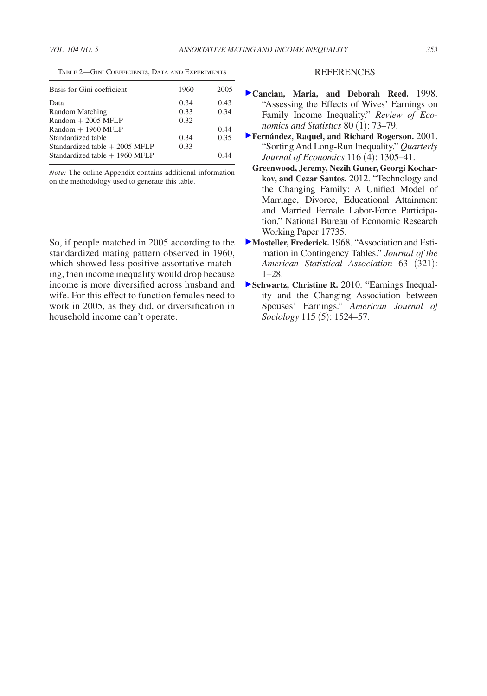<span id="page-5-0"></span>Table 2—Gini Coefficients, Data and Experiments

| Basis for Gini coefficient       | 1960 | 2005 |
|----------------------------------|------|------|
| Data                             | 0.34 | 0.43 |
| Random Matching                  | 0.33 | 0.34 |
| $Random + 2005 MFLP$             | 0.32 |      |
| $Random + 1960 MFLP$             |      | 0.44 |
| Standardized table               | 0.34 | 0.35 |
| Standardized table $+$ 2005 MFLP | 0.33 |      |
| Standardized table $+$ 1960 MFLP |      | በ 44 |

*Note:* The online Appendix contains additional information on the methodology used to generate this table.

So, if people matched in 2005 according to the standardized mating pattern observed in 1960, which showed less positive assortative matching, then income inequality would drop because income is more diversified across husband and wife. For this effect to function females need to work in 2005, as they did, or diversification in household income can't operate.

#### REFERENCES

- **Cancian, Maria, and Deborah Reed.** 1998. "Assessing the Effects of Wives' Earnings on Family Income Inequality." *Review of Economics and Statistics* 80 (1): 73–79.
- **Fernández, Raquel, and Richard Rogerson.** 2001. "Sorting And Long-Run Inequality." *Quarterly Journal of Economics* 116 (4): 1305–41.
- **Greenwood, Jeremy, Nezih Guner, Georgi Kocharkov, and Cezar Santos.** 2012. "Technology and the Changing Family: A Unified Model of Marriage, Divorce, Educational Attainment and Married Female Labor-Force Participation." National Bureau of Economic Research Working Paper 17735.
- **Mosteller, Frederick.** 1968. "Association and Estimation in Contingency Tables." *Journal of the American Statistical Association* 63 (321): 1–28.
- **Schwartz, Christine R.** 2010. "Earnings Inequality and the Changing Association between Spouses' Earnings." *American Journal of Sociology* 115 (5): 1524–57.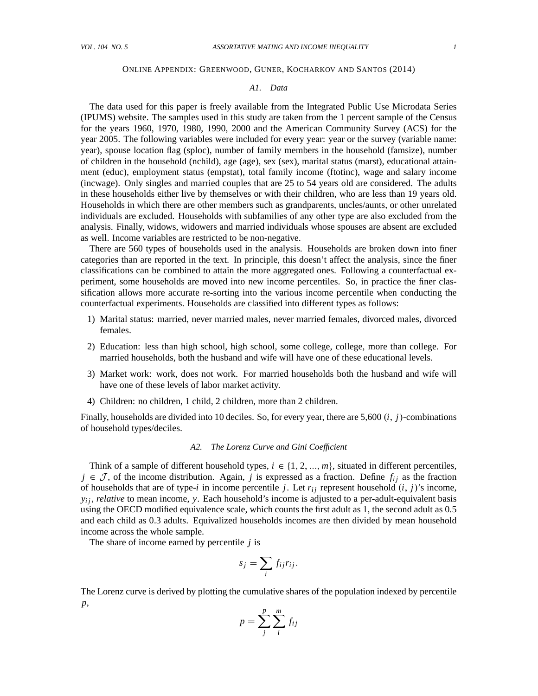#### ONLINE APPENDIX: GREENWOOD, GUNER, KOCHARKOV AND SANTOS (2014)

#### *A1. Data*

The data used for this paper is freely available from the Integrated Public Use Microdata Series (IPUMS) website. The samples used in this study are taken from the 1 percent sample of the Census for the years 1960, 1970, 1980, 1990, 2000 and the American Community Survey (ACS) for the year 2005. The following variables were included for every year: year or the survey (variable name: year), spouse location flag (sploc), number of family members in the household (famsize), number of children in the household (nchild), age (age), sex (sex), marital status (marst), educational attainment (educ), employment status (empstat), total family income (ftotinc), wage and salary income (incwage). Only singles and married couples that are 25 to 54 years old are considered. The adults in these households either live by themselves or with their children, who are less than 19 years old. Households in which there are other members such as grandparents, uncles/aunts, or other unrelated individuals are excluded. Households with subfamilies of any other type are also excluded from the analysis. Finally, widows, widowers and married individuals whose spouses are absent are excluded as well. Income variables are restricted to be non-negative.

There are 560 types of households used in the analysis. Households are broken down into finer categories than are reported in the text. In principle, this doesn't affect the analysis, since the finer classifications can be combined to attain the more aggregated ones. Following a counterfactual experiment, some households are moved into new income percentiles. So, in practice the finer classification allows more accurate re-sorting into the various income percentile when conducting the counterfactual experiments. Households are classified into different types as follows:

- 1) Marital status: married, never married males, never married females, divorced males, divorced females.
- 2) Education: less than high school, high school, some college, college, more than college. For married households, both the husband and wife will have one of these educational levels.
- 3) Market work: work, does not work. For married households both the husband and wife will have one of these levels of labor market activity.
- 4) Children: no children, 1 child, 2 children, more than 2 children.

Finally, households are divided into 10 deciles. So, for every year, there are  $5,600$   $(i, j)$ -combinations of household types/deciles.

#### *A2. The Lorenz Curve and Gini Coefficient*

Think of a sample of different household types,  $i \in \{1, 2, ..., m\}$ , situated in different percentiles,  $j \in \mathcal{J}$ , of the income distribution. Again, *j* is expressed as a fraction. Define  $f_{ij}$  as the fraction of households that are of type-*i* in income percentile *j*. Let  $r_{ij}$  represent household  $(i, j)$ 's income,  $y_{ij}$ , *relative* to mean income, *y*. Each household's income is adjusted to a per-adult-equivalent basis using the OECD modified equivalence scale, which counts the first adult as 1, the second adult as 0.5 and each child as 0.3 adults. Equivalized households incomes are then divided by mean household income across the whole sample.

The share of income earned by percentile *j* is

$$
s_j = \sum_i f_{ij} r_{ij}.
$$

The Lorenz curve is derived by plotting the cumulative shares of the population indexed by percentile *p*,

$$
p = \sum_{j}^{p} \sum_{i}^{m} f_{ij}
$$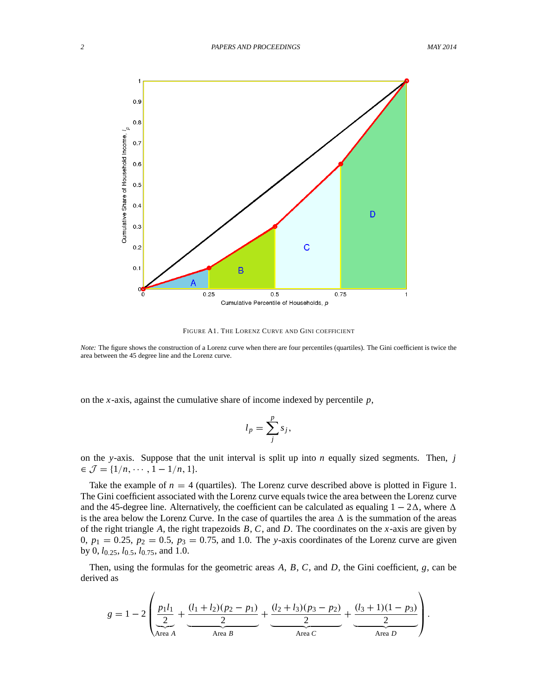

FIGURE A1. THE LORENZ CURVE AND GINI COEFFICIENT

*Note:* The figure shows the construction of a Lorenz curve when there are four percentiles (quartiles). The Gini coefficient is twice the area between the 45 degree line and the Lorenz curve.

on the *x*-axis, against the cumulative share of income indexed by percentile *p*,

$$
l_p = \sum_j^p s_j,
$$

on the *y*-axis. Suppose that the unit interval is split up into *n* equally sized segments. Then, *j*  $\in \mathcal{J} = \{1/n, \cdots, 1 - 1/n, 1\}.$ 

Take the example of  $n = 4$  (quartiles). The Lorenz curve described above is plotted in Figure 1. The Gini coefficient associated with the Lorenz curve equals twice the area between the Lorenz curve and the 45-degree line. Alternatively, the coefficient can be calculated as equaling  $1 - 2\Delta$ , where  $\Delta$ is the area below the Lorenz Curve. In the case of quartiles the area  $\Delta$  is the summation of the areas of the right triangle *A*, the right trapezoids *B*, *C*, and *D*. The coordinates on the *x*-axis are given by 0,  $p_1 = 0.25$ ,  $p_2 = 0.5$ ,  $p_3 = 0.75$ , and 1.0. The *y*-axis coordinates of the Lorenz curve are given by 0, *l*0:25, *l*0:5, *l*0:75, and 1:0.

Then, using the formulas for the geometric areas *A*, *B*, *C*, and *D*, the Gini coefficient, *g*, can be derived as

$$
g = 1 - 2\left(\underbrace{\frac{p_1l_1}{2}}_{\text{Area }A} + \underbrace{\frac{(l_1 + l_2)(p_2 - p_1)}{2}}_{\text{Area }B} + \underbrace{\frac{(l_2 + l_3)(p_3 - p_2)}{2}}_{\text{Area }C} + \underbrace{\frac{(l_3 + 1)(1 - p_3)}{2}}_{\text{Area }D}\right).
$$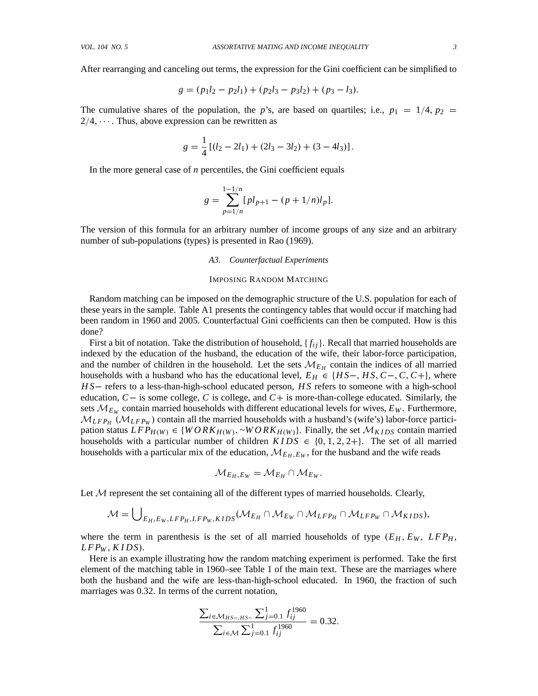After rearranging and canceling out terms, the expression for the Gini coefficient can be simplified to

$$
g = (p_1l_2 - p_2l_1) + (p_2l_3 - p_3l_2) + (p_3 - l_3).
$$

The cumulative shares of the population, the *p*'s, are based on quartiles; i.e.,  $p_1 = 1/4$ ,  $p_2 =$  $2/4, \cdots$ . Thus, above expression can be rewritten as

$$
g = \frac{1}{4} [(l_2 - 2l_1) + (2l_3 - 3l_2) + (3 - 4l_3)].
$$

In the more general case of *n* percentiles, the Gini coefficient equals

$$
g = \sum_{p=1/n}^{1-1/n} [pl_{p+1} - (p+1/n)l_p].
$$

The version of this formula for an arbitrary number of income groups of any size and an arbitrary number of sub-populations (types) is presented in Rao (1969).

## *A3. Counterfactual Experiments*

#### IMPOSING RANDOM MATCHING

Random matching can be imposed on the demographic structure of the U.S. population for each of these years in the sample. Table A1 presents the contingency tables that would occur if matching had been random in 1960 and 2005. Counterfactual Gini coefficients can then be computed. How is this done?

First a bit of notation. Take the distribution of household,  $\{f_{ij}\}\$ . Recall that married households are indexed by the education of the husband, the education of the wife, their labor-force participation, and the number of children in the household. Let the sets  $\mathcal{M}_{E_H}$  contain the indices of all married households with a husband who has the educational level,  $E_H \in \{HS-, HS, C-, C, C+\}$ , where *HS* – refers to a less-than-high-school educated person, *HS* refers to someone with a high-school education,  $C -$  is some college, C is college, and  $C +$  is more-than-college educated. Similarly, the sets  $M_{E_W}$  contain married households with different educational levels for wives,  $E_W$ . Furthermore,  $M_{LFP_H}$  ( $M_{LFP_W}$ ) contain all the married households with a husband's (wife's) labor-force participation status  $LFP_{H(W)} \in \{WORK_{H(W)}, \neg WORK_{H(W)}\}$ . Finally, the set  $\mathcal{M}_{KIDS}$  contain married households with a particular number of children  $KIDS \in \{0, 1, 2, 2+\}$ . The set of all married households with a particular mix of the education,  $\mathcal{M}_{E_H,E_W}$ , for the husband and the wife reads

$$
\mathcal{M}_{E_H,E_W} = \mathcal{M}_{E_H} \cap \mathcal{M}_{E_W}.
$$

Let  $M$  represent the set containing all of the different types of married households. Clearly,

$$
\mathcal{M} = \bigcup_{E_H, E_W, LFP_H, LFP_W, KIDS} (\mathcal{M}_{E_H} \cap \mathcal{M}_{E_W} \cap \mathcal{M}_{LFP_H} \cap \mathcal{M}_{LFP_W} \cap \mathcal{M}_{KIDS}),
$$

where the term in parenthesis is the set of all married households of type  $(E_H, E_W, LFP_H,$ *L F P<sup>W</sup>* ; *K I DS*/.

Here is an example illustrating how the random matching experiment is performed. Take the first element of the matching table in 1960–see Table 1 of the main text. These are the marriages where both the husband and the wife are less-than-high-school educated. In 1960, the fraction of such marriages was 0.32. In terms of the current notation,

$$
\frac{\sum_{i \in \mathcal{M}_{HS-,HS}} \sum_{j=0.1}^{1} f_{ij}^{1960}}{\sum_{i \in \mathcal{M}} \sum_{j=0.1}^{1} f_{ij}^{1960}} = 0.32.
$$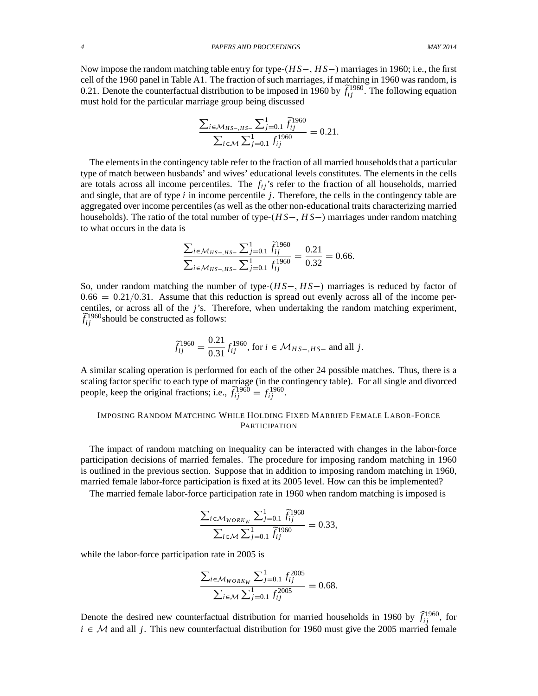*4 PAPERS AND PROCEEDINGS MAY 2014*

Now impose the random matching table entry for type- $(HS-, HS-)$  marriages in 1960; i.e., the first cell of the 1960 panel in Table A1. The fraction of such marriages, if matching in 1960 was random, is 0.21. Denote the counterfactual distribution to be imposed in 1960 by  $\tilde{f}_{ij}^{1960}$ . The following equation must hold for the particular marriage group being discussed

$$
\frac{\sum_{i \in \mathcal{M}_{HS-,HS-}} \sum_{j=0.1}^{1} \tilde{f}_{ij}^{1960}}{\sum_{i \in \mathcal{M}} \sum_{j=0.1}^{1} f_{ij}^{1960}} = 0.21.
$$

The elements in the contingency table refer to the fraction of all married households that a particular type of match between husbands' and wives' educational levels constitutes. The elements in the cells are totals across all income percentiles. The  $f_{ij}$ 's refer to the fraction of all households, married and single, that are of type *i* in income percentile *j*. Therefore, the cells in the contingency table are aggregated over income percentiles (as well as the other non-educational traits characterizing married households). The ratio of the total number of type- $(HS-, HS-)$  marriages under random matching to what occurs in the data is

$$
\frac{\sum_{i \in \mathcal{M}_{HS-,HS-}} \sum_{j=0.1}^{1} \tilde{f}_{ij}^{1960}}{\sum_{i \in \mathcal{M}_{HS-,HS-}} \sum_{j=0.1}^{1} f_{ij}^{1960}} = \frac{0.21}{0.32} = 0.66.
$$

So, under random matching the number of type- $(HS-, HS-)$  marriages is reduced by factor of  $0.66 = 0.21/0.31$ . Assume that this reduction is spread out evenly across all of the income percentiles, or across all of the *j*'s. Therefore, when undertaking the random matching experiment,  $\tilde{f}_{ij}^{1960}$  should be constructed as follows:

$$
\widetilde{f}_{ij}^{1960} = \frac{0.21}{0.31} f_{ij}^{1960}, \text{ for } i \in \mathcal{M}_{HS-,HS-} \text{ and all } j.
$$

A similar scaling operation is performed for each of the other 24 possible matches. Thus, there is a scaling factor specific to each type of marriage (in the contingency table). For all single and divorced people, keep the original fractions; i.e.,  $\tilde{f}_{ij}^{1960} = f_{ij}^{1960}$ .

## IMPOSING RANDOM MATCHING WHILE HOLDING FIXED MARRIED FEMALE LABOR-FORCE **PARTICIPATION**

The impact of random matching on inequality can be interacted with changes in the labor-force participation decisions of married females. The procedure for imposing random matching in 1960 is outlined in the previous section. Suppose that in addition to imposing random matching in 1960, married female labor-force participation is fixed at its 2005 level. How can this be implemented?

The married female labor-force participation rate in 1960 when random matching is imposed is

$$
\frac{\sum_{i \in \mathcal{M}_{WORK_W}} \sum_{j=0.1}^{1} \tilde{f}_{ij}^{1960}}{\sum_{i \in \mathcal{M}} \sum_{j=0.1}^{1} \tilde{f}_{ij}^{1960}} = 0.33,
$$

while the labor-force participation rate in 2005 is

$$
\frac{\sum_{i \in \mathcal{M}_{WORK_W}} \sum_{j=0.1}^{1} f_{ij}^{2005}}{\sum_{i \in \mathcal{M}} \sum_{j=0.1}^{1} f_{ij}^{2005}} = 0.68.
$$

Denote the desired new counterfactual distribution for married households in 1960 by  $\hat{f}_{ij}^{1960}$ , for  $i \in \mathcal{M}$  and all *j*. This new counterfactual distribution for 1960 must give the 2005 married female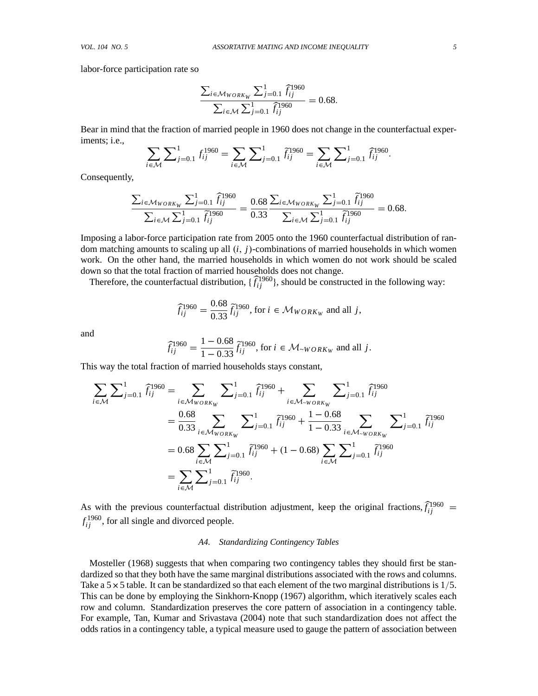labor-force participation rate so

$$
\frac{\sum_{i \in \mathcal{M}_{WORK_W}} \sum_{j=0.1}^{1} \hat{f}_{ij}^{1960}}{\sum_{i \in \mathcal{M}} \sum_{j=0.1}^{1} \hat{f}_{ij}^{1960}} = 0.68.
$$

Bear in mind that the fraction of married people in 1960 does not change in the counterfactual experiments; i.e.,

$$
\sum_{i \in \mathcal{M}} \sum_{j=0,1}^{1} f_{ij}^{1960} = \sum_{i \in \mathcal{M}} \sum_{j=0,1}^{1} \tilde{f}_{ij}^{1960} = \sum_{i \in \mathcal{M}} \sum_{j=0,1}^{1} \tilde{f}_{ij}^{1960}.
$$

Consequently,

$$
\frac{\sum_{i \in \mathcal{M}_{WORK_W}} \sum_{j=0.1}^1 \hat{f}_{ij}^{1960}}{\sum_{i \in \mathcal{M}} \sum_{j=0.1}^1 \hat{f}_{ij}^{1960}} = \frac{0.68}{0.33} \frac{\sum_{i \in \mathcal{M}_{WORK_W}} \sum_{j=0.1}^1 \hat{f}_{ij}^{1960}}{\sum_{i \in \mathcal{M}} \sum_{j=0.1}^1 \hat{f}_{ij}^{1960}} = 0.68.
$$

Imposing a labor-force participation rate from 2005 onto the 1960 counterfactual distribution of random matching amounts to scaling up all  $(i, j)$ -combinations of married households in which women work. On the other hand, the married households in which women do not work should be scaled down so that the total fraction of married households does not change.

Therefore, the counterfactual distribution,  $\{\widehat{f}_{ij}^{1960}\}$ , should be constructed in the following way:

$$
\widehat{f}_{ij}^{1960} = \frac{0.68}{0.33} \widetilde{f}_{ij}^{1960}, \text{ for } i \in \mathcal{M}_{WORK_W} \text{ and all } j,
$$

and

$$
\widehat{f}_{ij}^{1960} = \frac{1 - 0.68}{1 - 0.33} \widetilde{f}_{ij}^{1960}, \text{ for } i \in \mathcal{M}_{\sim WORK_W} \text{ and all } j.
$$

This way the total fraction of married households stays constant,

$$
\sum_{i \in \mathcal{M}} \sum_{j=0,1}^{1} \hat{f}_{ij}^{1960} = \sum_{i \in \mathcal{M}_{WORK_W}} \sum_{j=0,1}^{1} \hat{f}_{ij}^{1960} + \sum_{i \in \mathcal{M}_{\sim WORK_W}} \sum_{j=0,1}^{1} \hat{f}_{ij}^{1960}
$$
\n
$$
= \frac{0.68}{0.33} \sum_{i \in \mathcal{M}_{WORK_W}} \sum_{j=0,1}^{1} \hat{f}_{ij}^{1960} + \frac{1 - 0.68}{1 - 0.33} \sum_{i \in \mathcal{M}_{\sim WORK_W}} \sum_{j=0,1}^{1} \hat{f}_{ij}^{1960}
$$
\n
$$
= 0.68 \sum_{i \in \mathcal{M}} \sum_{j=0,1}^{1} \hat{f}_{ij}^{1960} + (1 - 0.68) \sum_{i \in \mathcal{M}} \sum_{j=0,1}^{1} \hat{f}_{ij}^{1960}
$$
\n
$$
= \sum_{i \in \mathcal{M}} \sum_{j=0,1}^{1} \hat{f}_{ij}^{1960}.
$$

As with the previous counterfactual distribution adjustment, keep the original fractions,  $\hat{f}_{ij}^{1960}$  =  $f_{ij}^{1960}$ , for all single and divorced people.

### *A4. Standardizing Contingency Tables*

Mosteller (1968) suggests that when comparing two contingency tables they should first be standardized so that they both have the same marginal distributions associated with the rows and columns. Take a  $5 \times 5$  table. It can be standardized so that each element of the two marginal distributions is  $1/5$ . This can be done by employing the Sinkhorn-Knopp (1967) algorithm, which iteratively scales each row and column. Standardization preserves the core pattern of association in a contingency table. For example, Tan, Kumar and Srivastava (2004) note that such standardization does not affect the odds ratios in a contingency table, a typical measure used to gauge the pattern of association between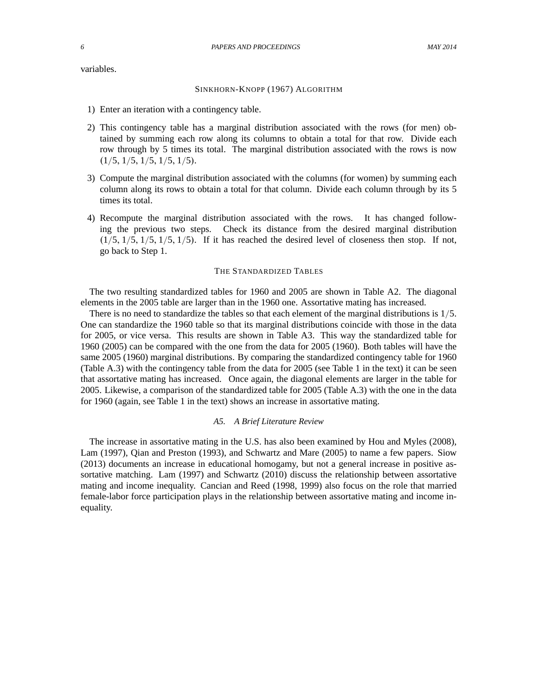variables.

#### SINKHORN-KNOPP (1967) ALGORITHM

- 1) Enter an iteration with a contingency table.
- 2) This contingency table has a marginal distribution associated with the rows (for men) obtained by summing each row along its columns to obtain a total for that row. Divide each row through by 5 times its total. The marginal distribution associated with the rows is now  $(1/5, 1/5, 1/5, 1/5, 1/5).$
- 3) Compute the marginal distribution associated with the columns (for women) by summing each column along its rows to obtain a total for that column. Divide each column through by its 5 times its total.
- 4) Recompute the marginal distribution associated with the rows. It has changed following the previous two steps. Check its distance from the desired marginal distribution  $(1/5, 1/5, 1/5, 1/5, 1/5)$ . If it has reached the desired level of closeness then stop. If not, go back to Step 1.

#### THE STANDARDIZED TABLES

The two resulting standardized tables for 1960 and 2005 are shown in Table A2. The diagonal elements in the 2005 table are larger than in the 1960 one. Assortative mating has increased.

There is no need to standardize the tables so that each element of the marginal distributions is  $1/5$ . One can standardize the 1960 table so that its marginal distributions coincide with those in the data for 2005, or vice versa. This results are shown in Table A3. This way the standardized table for 1960 (2005) can be compared with the one from the data for 2005 (1960). Both tables will have the same 2005 (1960) marginal distributions. By comparing the standardized contingency table for 1960 (Table A.3) with the contingency table from the data for 2005 (see Table 1 in the text) it can be seen that assortative mating has increased. Once again, the diagonal elements are larger in the table for 2005. Likewise, a comparison of the standardized table for 2005 (Table A.3) with the one in the data for 1960 (again, see Table 1 in the text) shows an increase in assortative mating.

#### *A5. A Brief Literature Review*

The increase in assortative mating in the U.S. has also been examined by Hou and Myles (2008), Lam (1997), Qian and Preston (1993), and Schwartz and Mare (2005) to name a few papers. Siow (2013) documents an increase in educational homogamy, but not a general increase in positive assortative matching. Lam (1997) and Schwartz (2010) discuss the relationship between assortative mating and income inequality. Cancian and Reed (1998, 1999) also focus on the role that married female-labor force participation plays in the relationship between assortative mating and income inequality.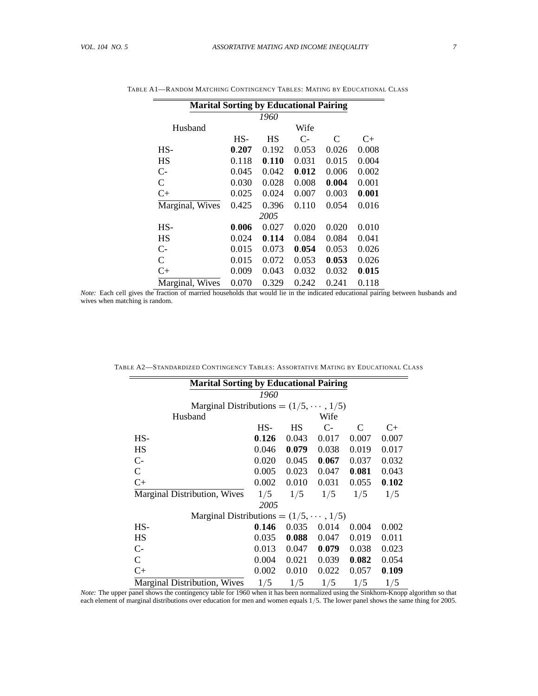| <b>Marital Sorting by Educational Pairing</b> |       |       |       |                             |       |  |  |  |
|-----------------------------------------------|-------|-------|-------|-----------------------------|-------|--|--|--|
| 1960                                          |       |       |       |                             |       |  |  |  |
| Husband                                       |       |       | Wife  |                             |       |  |  |  |
|                                               | $HS-$ | НS    | $C-$  | $\mathcal{C}_{\mathcal{C}}$ | C+    |  |  |  |
| HS-                                           | 0.207 | 0.192 | 0.053 | 0.026                       | 0.008 |  |  |  |
| HS                                            | 0.118 | 0.110 | 0.031 | 0.015                       | 0.004 |  |  |  |
| $C-$                                          | 0.045 | 0.042 | 0.012 | 0.006                       | 0.002 |  |  |  |
| C                                             | 0.030 | 0.028 | 0.008 | 0.004                       | 0.001 |  |  |  |
| $C+$                                          | 0.025 | 0.024 | 0.007 | 0.003                       | 0.001 |  |  |  |
| Marginal, Wives                               | 0.425 | 0.396 | 0.110 | 0.054                       | 0.016 |  |  |  |
| 2005                                          |       |       |       |                             |       |  |  |  |
| HS-                                           | 0.006 | 0.027 | 0.020 | 0.020                       | 0.010 |  |  |  |
| HS                                            | 0.024 | 0.114 | 0.084 | 0.084                       | 0.041 |  |  |  |
| $C-$                                          | 0.015 | 0.073 | 0.054 | 0.053                       | 0.026 |  |  |  |
| C                                             | 0.015 | 0.072 | 0.053 | 0.053                       | 0.026 |  |  |  |
| $C+$                                          | 0.009 | 0.043 | 0.032 | 0.032                       | 0.015 |  |  |  |
| Marginal, Wives                               | 0.070 | 0.329 | 0.242 | 0.241                       | 0.118 |  |  |  |

| TABLE A1—RANDOM MATCHING CONTINGENCY TABLES: MATING BY EDUCATIONAL CLASS |  |
|--------------------------------------------------------------------------|--|
|--------------------------------------------------------------------------|--|

*Note:* Each cell gives the fraction of married households that would lie in the indicated educational pairing between husbands and wives when matching is random.

| <b>Marital Sorting by Educational Pairing</b> |       |           |       |       |       |  |  |
|-----------------------------------------------|-------|-----------|-------|-------|-------|--|--|
| 1960                                          |       |           |       |       |       |  |  |
| Marginal Distributions = $(1/5, \dots, 1/5)$  |       |           |       |       |       |  |  |
| Wife<br>Husband                               |       |           |       |       |       |  |  |
|                                               | $HS-$ | <b>HS</b> | $C$ - | C     | C+    |  |  |
| $HS-$                                         | 0.126 | 0.043     | 0.017 | 0.007 | 0.007 |  |  |
| HS                                            | 0.046 | 0.079     | 0.038 | 0.019 | 0.017 |  |  |
| $C-$                                          | 0.020 | 0.045     | 0.067 | 0.037 | 0.032 |  |  |
| $\mathsf{C}$                                  | 0.005 | 0.023     | 0.047 | 0.081 | 0.043 |  |  |
| $C+$                                          | 0.002 | 0.010     | 0.031 | 0.055 | 0.102 |  |  |
| Marginal Distribution, Wives                  | 1/5   | 1/5       | 1/5   | 1/5   | 1/5   |  |  |
| 2005                                          |       |           |       |       |       |  |  |
| Marginal Distributions = $(1/5, \dots, 1/5)$  |       |           |       |       |       |  |  |
| $HS-$                                         | 0.146 | 0.035     | 0.014 | 0.004 | 0.002 |  |  |
| HS                                            | 0.035 | 0.088     | 0.047 | 0.019 | 0.011 |  |  |
| $C-$                                          | 0.013 | 0.047     | 0.079 | 0.038 | 0.023 |  |  |
| $\mathcal{C}$                                 | 0.004 | 0.021     | 0.039 | 0.082 | 0.054 |  |  |
| $C+$                                          | 0.002 | 0.010     | 0.022 | 0.057 | 0.109 |  |  |
| Marginal Distribution, Wives                  | 1/5   | 1/5       | 1/5   | 1/5   | 1/5   |  |  |

| TABLE A2—STANDARDIZED CONTINGENCY TABLES: ASSORTATIVE MATING BY EDUCATIONAL CLASS |
|-----------------------------------------------------------------------------------|
|-----------------------------------------------------------------------------------|

*Note:* The upper panel shows the contingency table for 1960 when it has been normalized using the Sinkhorn-Knopp algorithm so that each element of marginal distributions over education for men and women equals 1/5. The lower panel shows the same thing for 2005.